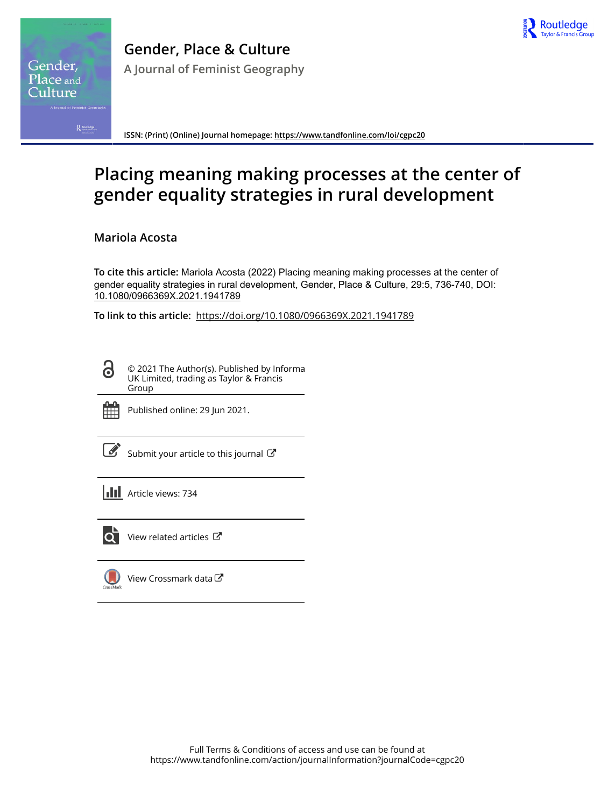

Gender, Place and `ulture

**ISSN: (Print) (Online) Journal homepage:<https://www.tandfonline.com/loi/cgpc20>**

# **Placing meaning making processes at the center of gender equality strategies in rural development**

**Mariola Acosta**

**To cite this article:** Mariola Acosta (2022) Placing meaning making processes at the center of gender equality strategies in rural development, Gender, Place & Culture, 29:5, 736-740, DOI: [10.1080/0966369X.2021.1941789](https://www.tandfonline.com/action/showCitFormats?doi=10.1080/0966369X.2021.1941789)

**To link to this article:** <https://doi.org/10.1080/0966369X.2021.1941789>

© 2021 The Author(s). Published by Informa UK Limited, trading as Taylor & Francis Group



ര

Published online: 29 Jun 2021.

[Submit your article to this journal](https://www.tandfonline.com/action/authorSubmission?journalCode=cgpc20&show=instructions)  $\mathbb{Z}$ 

**III** Article views: 734



 $\overline{Q}$  [View related articles](https://www.tandfonline.com/doi/mlt/10.1080/0966369X.2021.1941789)  $\overline{C}$ 

[View Crossmark data](http://crossmark.crossref.org/dialog/?doi=10.1080/0966369X.2021.1941789&domain=pdf&date_stamp=2021-06-29) $\mathbb{Z}$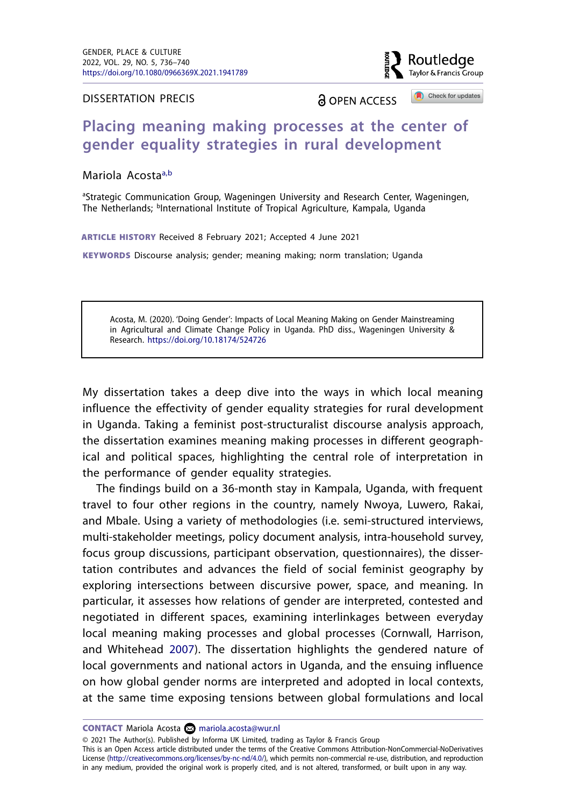

DISSERTATION PRECIS

**A OPEN ACCESS** 

Check for updates

# **Placing meaning making processes at the center of gender equality strategies in rural development**

Mariola Acosta<sup>a,[b](#page-1-1)</sup>

<span id="page-1-1"></span><span id="page-1-0"></span><sup>a</sup>Strategic Communication Group, Wageningen University and Research Center, Wageningen, The Netherlands; <sup>b</sup>International Institute of Tropical Agriculture, Kampala, Uganda

ARTICLE HISTORY Received 8 February 2021; Accepted 4 June 2021

KEYWORDS Discourse analysis; gender; meaning making; norm translation; Uganda

Acosta, M. (2020). 'Doing Gender': Impacts of Local Meaning Making on Gender Mainstreaming in Agricultural and Climate Change Policy in Uganda. PhD diss., Wageningen University & Research. <https://doi.org/10.18174/524726>

My dissertation takes a deep dive into the ways in which local meaning influence the effectivity of gender equality strategies for rural development in Uganda. Taking a feminist post-structuralist discourse analysis approach, the dissertation examines meaning making processes in different geographical and political spaces, highlighting the central role of interpretation in the performance of gender equality strategies.

The findings build on a 36-month stay in Kampala, Uganda, with frequent travel to four other regions in the country, namely Nwoya, Luwero, Rakai, and Mbale. Using a variety of methodologies (i.e. semi-structured interviews, multi-stakeholder meetings, policy document analysis, intra-household survey, focus group discussions, participant observation, questionnaires), the dissertation contributes and advances the field of social feminist geography by exploring intersections between discursive power, space, and meaning. In particular, it assesses how relations of gender are interpreted, contested and negotiated in different spaces, examining interlinkages between everyday local meaning making processes and global processes (Cornwall, Harrison, and Whitehead [2007\)](#page-5-0). The dissertation highlights the gendered nature of local governments and national actors in Uganda, and the ensuing influence on how global gender norms are interpreted and adopted in local contexts, at the same time exposing tensions between global formulations and local

<span id="page-1-2"></span>CONTACT Mariola Acosta **i** [mariola.acosta@wur.nl](mailto:mariola.acosta@wur.nl)

© 2021 The Author(s). Published by Informa UK Limited, trading as Taylor & Francis Group

This is an Open Access article distributed under the terms of the Creative Commons Attribution-NonCommercial-NoDerivatives License (http://creativecommons.org/licenses/by-nc-nd/4.0/), which permits non-commercial re-use, distribution, and reproduction in any medium, provided the original work is properly cited, and is not altered, transformed, or built upon in any way.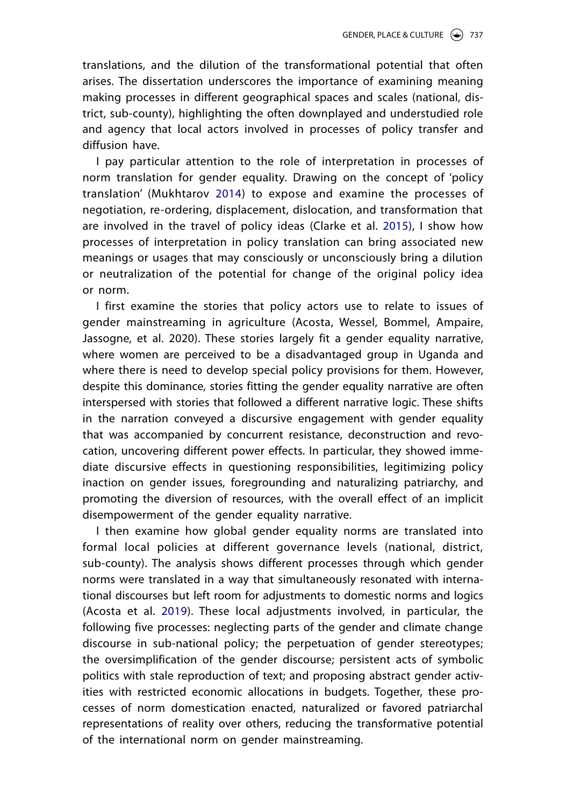translations, and the dilution of the transformational potential that often arises. The dissertation underscores the importance of examining meaning making processes in different geographical spaces and scales (national, district, sub-county), highlighting the often downplayed and understudied role and agency that local actors involved in processes of policy transfer and diffusion have.

<span id="page-2-2"></span><span id="page-2-1"></span>I pay particular attention to the role of interpretation in processes of norm translation for gender equality. Drawing on the concept of 'policy translation' (Mukhtarov [2014\)](#page-5-1) to expose and examine the processes of negotiation, re-ordering, displacement, dislocation, and transformation that are involved in the travel of policy ideas (Clarke et al. [2015](#page-5-2)), I show how processes of interpretation in policy translation can bring associated new meanings or usages that may consciously or unconsciously bring a dilution or neutralization of the potential for change of the original policy idea or norm.

I first examine the stories that policy actors use to relate to issues of gender mainstreaming in agriculture (Acosta, Wessel, Bommel, Ampaire, Jassogne, et al. 2020). These stories largely fit a gender equality narrative, where women are perceived to be a disadvantaged group in Uganda and where there is need to develop special policy provisions for them. However, despite this dominance, stories fitting the gender equality narrative are often interspersed with stories that followed a different narrative logic. These shifts in the narration conveyed a discursive engagement with gender equality that was accompanied by concurrent resistance, deconstruction and revocation, uncovering different power effects. In particular, they showed immediate discursive effects in questioning responsibilities, legitimizing policy inaction on gender issues, foregrounding and naturalizing patriarchy, and promoting the diversion of resources, with the overall effect of an implicit disempowerment of the gender equality narrative.

<span id="page-2-0"></span>I then examine how global gender equality norms are translated into formal local policies at different governance levels (national, district, sub-county). The analysis shows different processes through which gender norms were translated in a way that simultaneously resonated with international discourses but left room for adjustments to domestic norms and logics (Acosta et al. [2019](#page-4-0)). These local adjustments involved, in particular, the following five processes: neglecting parts of the gender and climate change discourse in sub-national policy; the perpetuation of gender stereotypes; the oversimplification of the gender discourse; persistent acts of symbolic politics with stale reproduction of text; and proposing abstract gender activities with restricted economic allocations in budgets. Together, these processes of norm domestication enacted, naturalized or favored patriarchal representations of reality over others, reducing the transformative potential of the international norm on gender mainstreaming.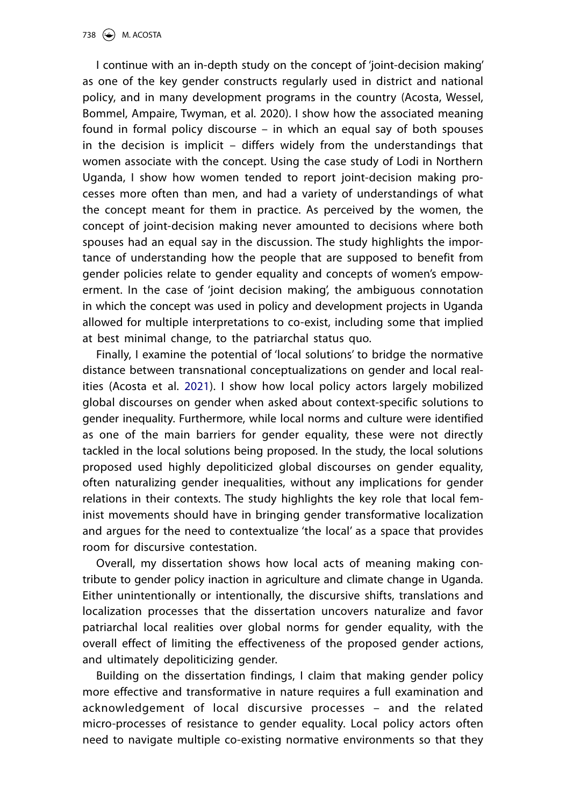I continue with an in-depth study on the concept of 'joint-decision making' as one of the key gender constructs regularly used in district and national policy, and in many development programs in the country (Acosta, Wessel, Bommel, Ampaire, Twyman, et al. 2020). I show how the associated meaning found in formal policy discourse – in which an equal say of both spouses in the decision is implicit – differs widely from the understandings that women associate with the concept. Using the case study of Lodi in Northern Uganda, I show how women tended to report joint-decision making processes more often than men, and had a variety of understandings of what the concept meant for them in practice. As perceived by the women, the concept of joint-decision making never amounted to decisions where both spouses had an equal say in the discussion. The study highlights the importance of understanding how the people that are supposed to benefit from gender policies relate to gender equality and concepts of women's empowerment. In the case of 'joint decision making', the ambiguous connotation in which the concept was used in policy and development projects in Uganda allowed for multiple interpretations to co-exist, including some that implied at best minimal change, to the patriarchal status quo.

<span id="page-3-0"></span>Finally, I examine the potential of 'local solutions' to bridge the normative distance between transnational conceptualizations on gender and local realities (Acosta et al. [2021\)](#page-5-3). I show how local policy actors largely mobilized global discourses on gender when asked about context-specific solutions to gender inequality. Furthermore, while local norms and culture were identified as one of the main barriers for gender equality, these were not directly tackled in the local solutions being proposed. In the study, the local solutions proposed used highly depoliticized global discourses on gender equality, often naturalizing gender inequalities, without any implications for gender relations in their contexts. The study highlights the key role that local feminist movements should have in bringing gender transformative localization and argues for the need to contextualize 'the local' as a space that provides room for discursive contestation.

Overall, my dissertation shows how local acts of meaning making contribute to gender policy inaction in agriculture and climate change in Uganda. Either unintentionally or intentionally, the discursive shifts, translations and localization processes that the dissertation uncovers naturalize and favor patriarchal local realities over global norms for gender equality, with the overall effect of limiting the effectiveness of the proposed gender actions, and ultimately depoliticizing gender.

Building on the dissertation findings, I claim that making gender policy more effective and transformative in nature requires a full examination and acknowledgement of local discursive processes – and the related micro-processes of resistance to gender equality. Local policy actors often need to navigate multiple co-existing normative environments so that they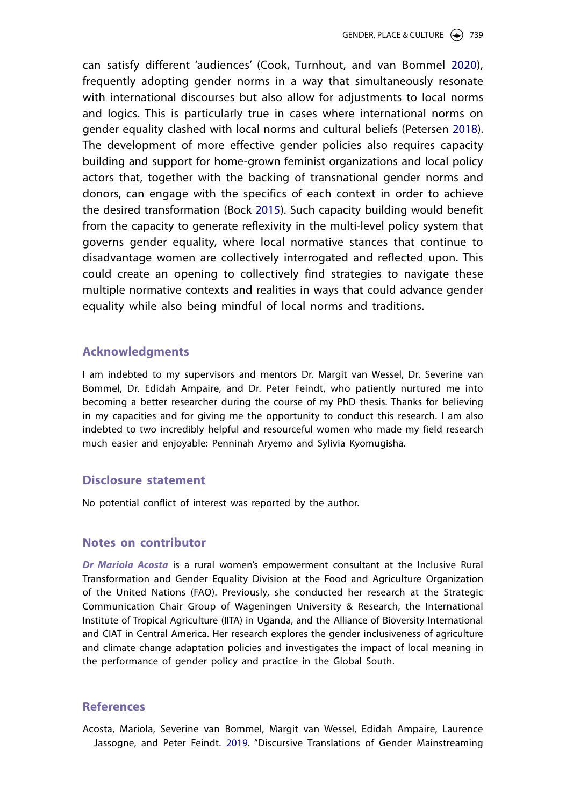<span id="page-4-3"></span><span id="page-4-2"></span><span id="page-4-1"></span>can satisfy different 'audiences' (Cook, Turnhout, and van Bommel [2020\)](#page-5-4), frequently adopting gender norms in a way that simultaneously resonate with international discourses but also allow for adjustments to local norms and logics. This is particularly true in cases where international norms on gender equality clashed with local norms and cultural beliefs (Petersen [2018](#page-5-5)). The development of more effective gender policies also requires capacity building and support for home-grown feminist organizations and local policy actors that, together with the backing of transnational gender norms and donors, can engage with the specifics of each context in order to achieve the desired transformation (Bock [2015](#page-5-6)). Such capacity building would benefit from the capacity to generate reflexivity in the multi-level policy system that governs gender equality, where local normative stances that continue to disadvantage women are collectively interrogated and reflected upon. This could create an opening to collectively find strategies to navigate these multiple normative contexts and realities in ways that could advance gender equality while also being mindful of local norms and traditions.

### **Acknowledgments**

I am indebted to my supervisors and mentors Dr. Margit van Wessel, Dr. Severine van Bommel, Dr. Edidah Ampaire, and Dr. Peter Feindt, who patiently nurtured me into becoming a better researcher during the course of my PhD thesis. Thanks for believing in my capacities and for giving me the opportunity to conduct this research. I am also indebted to two incredibly helpful and resourceful women who made my field research much easier and enjoyable: Penninah Aryemo and Sylivia Kyomugisha.

# **Disclosure statement**

No potential conflict of interest was reported by the author.

## **Notes on contributor**

*Dr Mariola Acosta* is a rural women's empowerment consultant at the Inclusive Rural Transformation and Gender Equality Division at the Food and Agriculture Organization of the United Nations (FAO). Previously, she conducted her research at the Strategic Communication Chair Group of Wageningen University & Research, the International Institute of Tropical Agriculture (IITA) in Uganda, and the Alliance of Bioversity International and CIAT in Central America. Her research explores the gender inclusiveness of agriculture and climate change adaptation policies and investigates the impact of local meaning in the performance of gender policy and practice in the Global South.

### **References**

<span id="page-4-0"></span>Acosta, Mariola, Severine van Bommel, Margit van Wessel, Edidah Ampaire, Laurence Jassogne, and Peter Feindt. [2019](#page-2-0). "Discursive Translations of Gender Mainstreaming